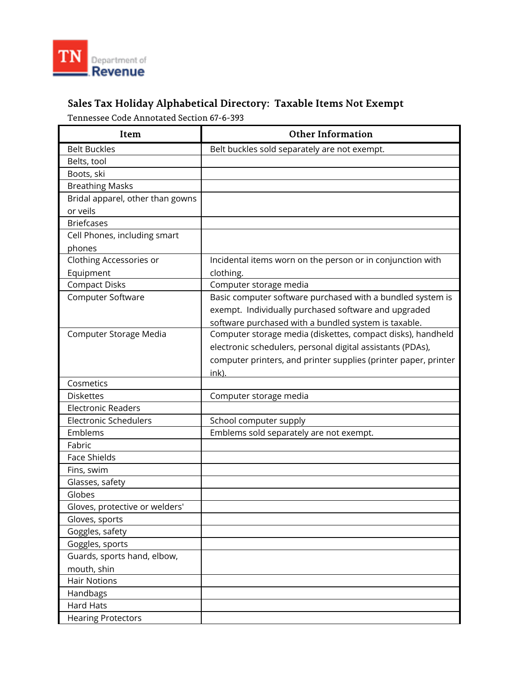

## **Sales Tax Holiday Alphabetical Directory: Taxable Items Not Exempt**

Tennessee Code Annotated Section 67-6-393

| Item                             | <b>Other Information</b>                                        |
|----------------------------------|-----------------------------------------------------------------|
| <b>Belt Buckles</b>              | Belt buckles sold separately are not exempt.                    |
| Belts, tool                      |                                                                 |
| Boots, ski                       |                                                                 |
| <b>Breathing Masks</b>           |                                                                 |
| Bridal apparel, other than gowns |                                                                 |
| or veils                         |                                                                 |
| <b>Briefcases</b>                |                                                                 |
| Cell Phones, including smart     |                                                                 |
| phones                           |                                                                 |
| Clothing Accessories or          | Incidental items worn on the person or in conjunction with      |
| Equipment                        | clothing.                                                       |
| <b>Compact Disks</b>             | Computer storage media                                          |
| Computer Software                | Basic computer software purchased with a bundled system is      |
|                                  | exempt. Individually purchased software and upgraded            |
|                                  | software purchased with a bundled system is taxable.            |
| Computer Storage Media           | Computer storage media (diskettes, compact disks), handheld     |
|                                  | electronic schedulers, personal digital assistants (PDAs),      |
|                                  | computer printers, and printer supplies (printer paper, printer |
|                                  | ink).                                                           |
| Cosmetics                        |                                                                 |
| <b>Diskettes</b>                 | Computer storage media                                          |
| <b>Electronic Readers</b>        |                                                                 |
| <b>Electronic Schedulers</b>     | School computer supply                                          |
| Emblems                          | Emblems sold separately are not exempt.                         |
| Fabric                           |                                                                 |
| <b>Face Shields</b>              |                                                                 |
| Fins, swim                       |                                                                 |
| Glasses, safety                  |                                                                 |
| Globes                           |                                                                 |
| Gloves, protective or welders'   |                                                                 |
| Gloves, sports                   |                                                                 |
| Goggles, safety                  |                                                                 |
| Goggles, sports                  |                                                                 |
| Guards, sports hand, elbow,      |                                                                 |
| mouth, shin                      |                                                                 |
| <b>Hair Notions</b>              |                                                                 |
| Handbags                         |                                                                 |
| <b>Hard Hats</b>                 |                                                                 |
| <b>Hearing Protectors</b>        |                                                                 |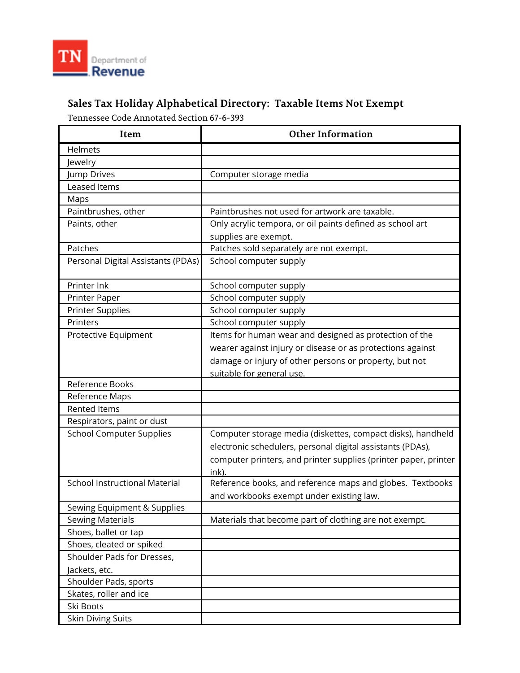

## **Sales Tax Holiday Alphabetical Directory: Taxable Items Not Exempt**

Tennessee Code Annotated Section 67-6-393

| Item                                 | <b>Other Information</b>                                        |
|--------------------------------------|-----------------------------------------------------------------|
| Helmets                              |                                                                 |
| Jewelry                              |                                                                 |
| Jump Drives                          | Computer storage media                                          |
| Leased Items                         |                                                                 |
| Maps                                 |                                                                 |
| Paintbrushes, other                  | Paintbrushes not used for artwork are taxable.                  |
| Paints, other                        | Only acrylic tempora, or oil paints defined as school art       |
|                                      | supplies are exempt.                                            |
| Patches                              | Patches sold separately are not exempt.                         |
| Personal Digital Assistants (PDAs)   | School computer supply                                          |
| Printer Ink                          | School computer supply                                          |
| Printer Paper                        | School computer supply                                          |
| <b>Printer Supplies</b>              | School computer supply                                          |
| Printers                             | School computer supply                                          |
| Protective Equipment                 | Items for human wear and designed as protection of the          |
|                                      | wearer against injury or disease or as protections against      |
|                                      | damage or injury of other persons or property, but not          |
|                                      | suitable for general use.                                       |
| Reference Books                      |                                                                 |
| Reference Maps                       |                                                                 |
| <b>Rented Items</b>                  |                                                                 |
| Respirators, paint or dust           |                                                                 |
| <b>School Computer Supplies</b>      | Computer storage media (diskettes, compact disks), handheld     |
|                                      | electronic schedulers, personal digital assistants (PDAs),      |
|                                      | computer printers, and printer supplies (printer paper, printer |
|                                      | ink).                                                           |
| <b>School Instructional Material</b> | Reference books, and reference maps and globes. Textbooks       |
|                                      | and workbooks exempt under existing law.                        |
| Sewing Equipment & Supplies          |                                                                 |
| <b>Sewing Materials</b>              | Materials that become part of clothing are not exempt.          |
| Shoes, ballet or tap                 |                                                                 |
| Shoes, cleated or spiked             |                                                                 |
| Shoulder Pads for Dresses,           |                                                                 |
| Jackets, etc.                        |                                                                 |
| Shoulder Pads, sports                |                                                                 |
| Skates, roller and ice               |                                                                 |
| Ski Boots                            |                                                                 |
| <b>Skin Diving Suits</b>             |                                                                 |